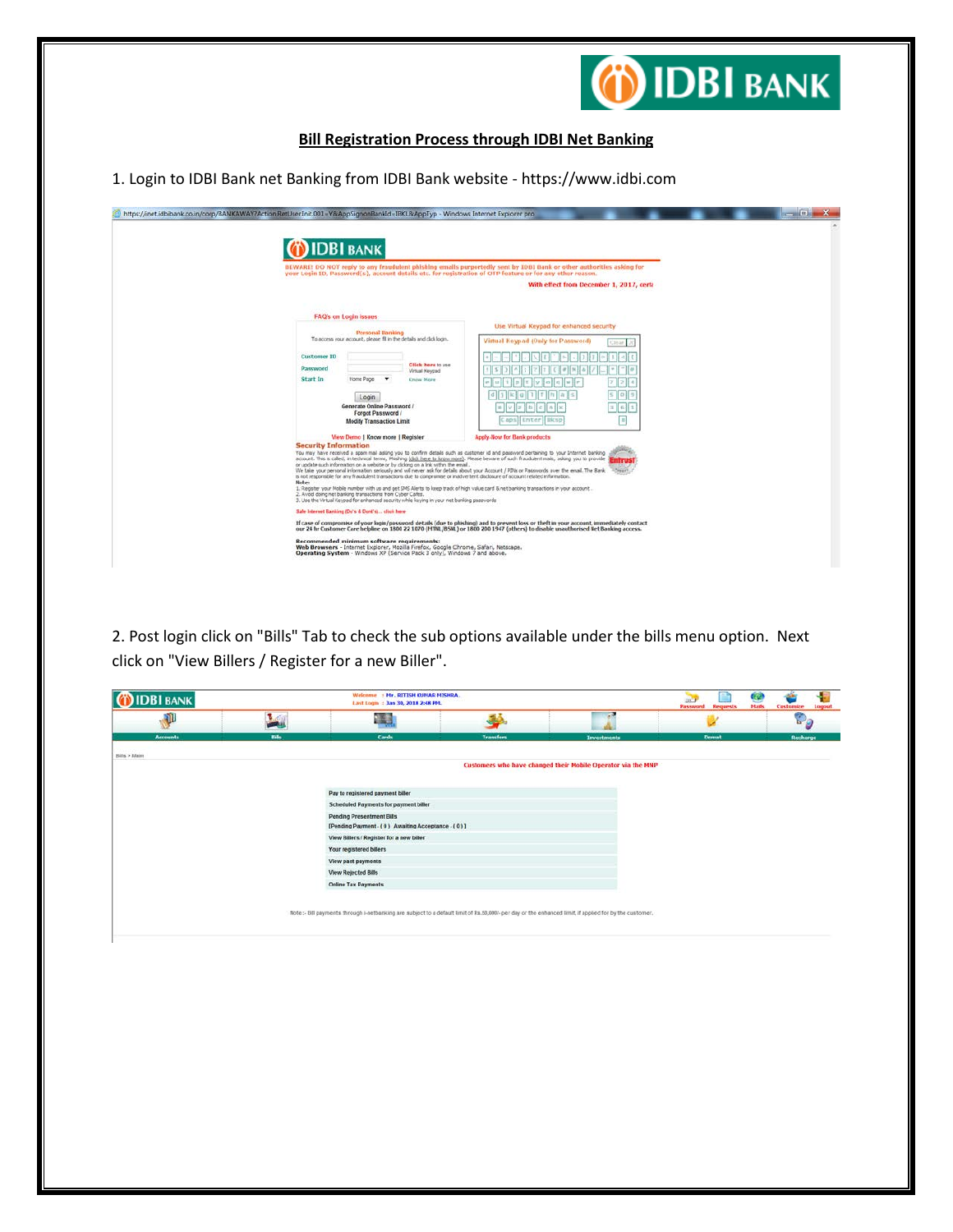

# **Bill Registration Process through IDBI Net Banking**

1. Login to IDBI Bank net Banking from IDBI Bank website - https://www.idbi.com

| <b>IDBI BANK</b><br>your Login ID, Password(s), account details etc. for registration of OTP feature or for any other reason.                                                                                                                                                                    | BEWARE! DO NOT reply to any fraudulent phishing emails purportedly sent by IDBI Bank or other authorities asking for                     |  |
|--------------------------------------------------------------------------------------------------------------------------------------------------------------------------------------------------------------------------------------------------------------------------------------------------|------------------------------------------------------------------------------------------------------------------------------------------|--|
|                                                                                                                                                                                                                                                                                                  | With effect from December 1, 2017, certa-                                                                                                |  |
| <b>FAQ's on Login issues</b>                                                                                                                                                                                                                                                                     |                                                                                                                                          |  |
|                                                                                                                                                                                                                                                                                                  | Use Virtual Keypad for enhanced security                                                                                                 |  |
| Personal Banking<br>To access your account, please fil in the details and click login.                                                                                                                                                                                                           | Virtual Keypad (Only for Password)<br>Clinar                                                                                             |  |
| <b>Customer ID</b>                                                                                                                                                                                                                                                                               |                                                                                                                                          |  |
| Click here to use<br>Password<br>Virtual Keypad                                                                                                                                                                                                                                                  |                                                                                                                                          |  |
| Start In<br>Home Page<br>$\overline{\phantom{a}}$<br>Know Mare                                                                                                                                                                                                                                   |                                                                                                                                          |  |
|                                                                                                                                                                                                                                                                                                  |                                                                                                                                          |  |
| Login<br>Generate Online Password /                                                                                                                                                                                                                                                              |                                                                                                                                          |  |
| Forgot Password /                                                                                                                                                                                                                                                                                |                                                                                                                                          |  |
| <b>Modify Transaction Limit</b>                                                                                                                                                                                                                                                                  | $\equiv$<br>Caps   Enter   Rksp                                                                                                          |  |
| View Demo   Know more   Register                                                                                                                                                                                                                                                                 | Apply-Now for Bank products                                                                                                              |  |
| <b>Security Information</b><br>You may have received a spam mal asking you to confirm details such as customer id and password pertaining to your Internet banking                                                                                                                               |                                                                                                                                          |  |
| account. This is called, in technical terms, Phishing (click here to know more). Please beware of such fraudulent mails, adong you to provide                                                                                                                                                    |                                                                                                                                          |  |
| or update such information on a website or by clicking on a link within the email.<br>We take your personal information seriously and will never ask for details about your Account / PDW or Passwords over the email. The Bank                                                                  |                                                                                                                                          |  |
| is not responsible for any fraudulent transactions due to compromise or inadvertent disclosure of account related information.<br>Note:                                                                                                                                                          |                                                                                                                                          |  |
| 1. Register your Mobile number with us and get 5MS Alerts to keep track of high value card & net banking transactions in your account<br>2. Avoid doing net banking transactions from Cyber Cafes.<br>3. Use the Virtual Keypad for enhanced security while keying in your net banking passwords |                                                                                                                                          |  |
| Sale Internet Banking (Du's & Dont's) click here                                                                                                                                                                                                                                                 |                                                                                                                                          |  |
|                                                                                                                                                                                                                                                                                                  | If case of compromise of your login/password details (due to phishing) and to prevent loss or theft in your account, immediately contact |  |

2. Post login click on "Bills" Tab to check the sub options available under the bills menu option. Next click on "View Billers / Register for a new Biller".

| <b>IDBI BANK</b> |              | Welcome : Hr. RITISH KUMAR MISHRA.<br>Last Login : Jan 30, 2018 2:48 PM.                                                                                |                  |                                                              | <b>AND</b><br><b>Password</b> Requests | Q<br><b>Hails</b> | Customize                 | ÷<br>Lagout |
|------------------|--------------|---------------------------------------------------------------------------------------------------------------------------------------------------------|------------------|--------------------------------------------------------------|----------------------------------------|-------------------|---------------------------|-------------|
| D                | <b>Local</b> | 語                                                                                                                                                       | فات              | 73                                                           |                                        |                   | $\mathbf{D}_{\mathbf{G}}$ |             |
| <b>Accounts</b>  | <b>Bills</b> | Cards                                                                                                                                                   | <b>Transfers</b> | <b>Investments</b>                                           | Demat                                  |                   | Recharge                  |             |
| Bills > Main     |              |                                                                                                                                                         |                  |                                                              |                                        |                   |                           |             |
|                  |              |                                                                                                                                                         |                  | Customers who have changed their Mobile Operator via the MNP |                                        |                   |                           |             |
|                  |              |                                                                                                                                                         |                  |                                                              |                                        |                   |                           |             |
|                  |              | Pay to registered payment biller                                                                                                                        |                  |                                                              |                                        |                   |                           |             |
|                  |              | Scheduled Payments for payment biller                                                                                                                   |                  |                                                              |                                        |                   |                           |             |
|                  |              | <b>Pending Presentment Bills</b>                                                                                                                        |                  |                                                              |                                        |                   |                           |             |
|                  |              | [Pending Payment - (0) Awaiting Acceptance - (0)]                                                                                                       |                  |                                                              |                                        |                   |                           |             |
|                  |              | View Billers / Register for a new biller                                                                                                                |                  |                                                              |                                        |                   |                           |             |
|                  |              | Your registered billers                                                                                                                                 |                  |                                                              |                                        |                   |                           |             |
|                  |              | View past payments                                                                                                                                      |                  |                                                              |                                        |                   |                           |             |
|                  |              | View Rejected Bills                                                                                                                                     |                  |                                                              |                                        |                   |                           |             |
|                  |              | <b>Online Tax Payments</b>                                                                                                                              |                  |                                                              |                                        |                   |                           |             |
|                  |              |                                                                                                                                                         |                  |                                                              |                                        |                   |                           |             |
|                  |              | Note :- Bill payments through i-netbanking are subject to a default limit of Rs.50,000/- per day or the enhanced limit, if applied for by the customer. |                  |                                                              |                                        |                   |                           |             |
|                  |              |                                                                                                                                                         |                  |                                                              |                                        |                   |                           |             |
|                  |              |                                                                                                                                                         |                  |                                                              |                                        |                   |                           |             |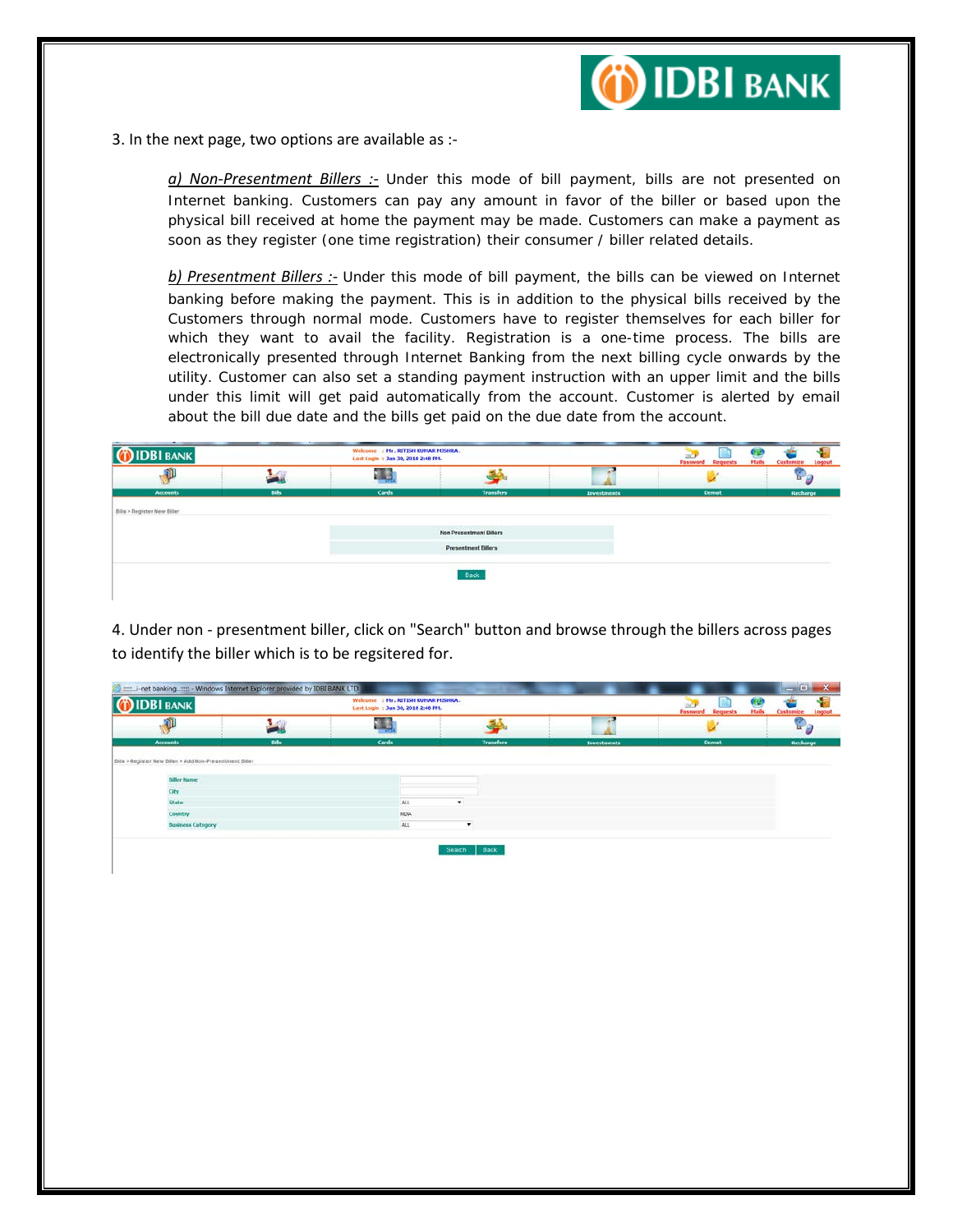

3. In the next page, two options are available as :-

*a) Non-Presentment Billers :-* Under this mode of bill payment, bills are not presented on Internet banking. Customers can pay any amount in favor of the biller or based upon the physical bill received at home the payment may be made. Customers can make a payment as soon as they register (one time registration) their consumer / biller related details.

*b) Presentment Billers :-* Under this mode of bill payment, the bills can be viewed on Internet banking before making the payment. This is in addition to the physical bills received by the Customers through normal mode. Customers have to register themselves for each biller for which they want to avail the facility. Registration is a one-time process. The bills are electronically presented through Internet Banking from the next billing cycle onwards by the utility. Customer can also set a standing payment instruction with an upper limit and the bills under this limit will get paid automatically from the account. Customer is alerted by email about the bill due date and the bills get paid on the due date from the account.

| --<br><b>DBI BANK</b>       | <b>CONTRACTOR</b> | Welcome : Mr. RITISH KUMAR MISHRA.<br>Last Login : Jan 30, 2018 2:48 PM. |                                |             | <b>Hails</b><br><b>Password</b> Requests | <b>Castomize</b> Logout |
|-----------------------------|-------------------|--------------------------------------------------------------------------|--------------------------------|-------------|------------------------------------------|-------------------------|
| W                           |                   | 建築                                                                       |                                |             |                                          | u                       |
| <b>Accounts</b>             | <b>Bills</b>      | Cards                                                                    | <b>Transfers</b>               | Investments | <b>Demat</b>                             | Recharge                |
| Bills > Register New Biller |                   |                                                                          |                                |             |                                          |                         |
|                             |                   |                                                                          | <b>Non Presentment Billers</b> |             |                                          |                         |
|                             |                   |                                                                          | <b>Presentment Billers</b>     |             |                                          |                         |
|                             |                   |                                                                          | Back                           |             |                                          |                         |

4. Under non - presentment biller, click on "Search" button and browse through the billers across pages to identify the biller which is to be regsitered for.

| <b>IDBI BANK</b>                                         |       | : Mr. RITISH KUNAR MISHRA.<br>Wekome<br>Last Login: Jan 30, 2018 2:48 PH. |                  |                    | <b>CO</b><br>Haik<br><b>Password Requests</b> | <b>Customize</b>                   |
|----------------------------------------------------------|-------|---------------------------------------------------------------------------|------------------|--------------------|-----------------------------------------------|------------------------------------|
| P                                                        |       | اليابان<br>أولاد                                                          |                  | 44.64              |                                               | $\mathbb{P}_{\boldsymbol{\theta}}$ |
| <b>Accounts</b>                                          | Bills | <b>Cards</b>                                                              | <b>Transfers</b> | <b>Investments</b> | Demat                                         | Recharge                           |
|                                                          |       |                                                                           |                  |                    |                                               |                                    |
| Bills > Register New Biller > Add Non-Presentment Biller |       |                                                                           |                  |                    |                                               |                                    |
| <b>Biller Name</b>                                       |       |                                                                           |                  |                    |                                               |                                    |
|                                                          |       |                                                                           |                  |                    |                                               |                                    |
| City<br>State                                            |       | ALL                                                                       |                  |                    |                                               |                                    |
| Country                                                  |       | <b>NDA</b>                                                                |                  |                    |                                               |                                    |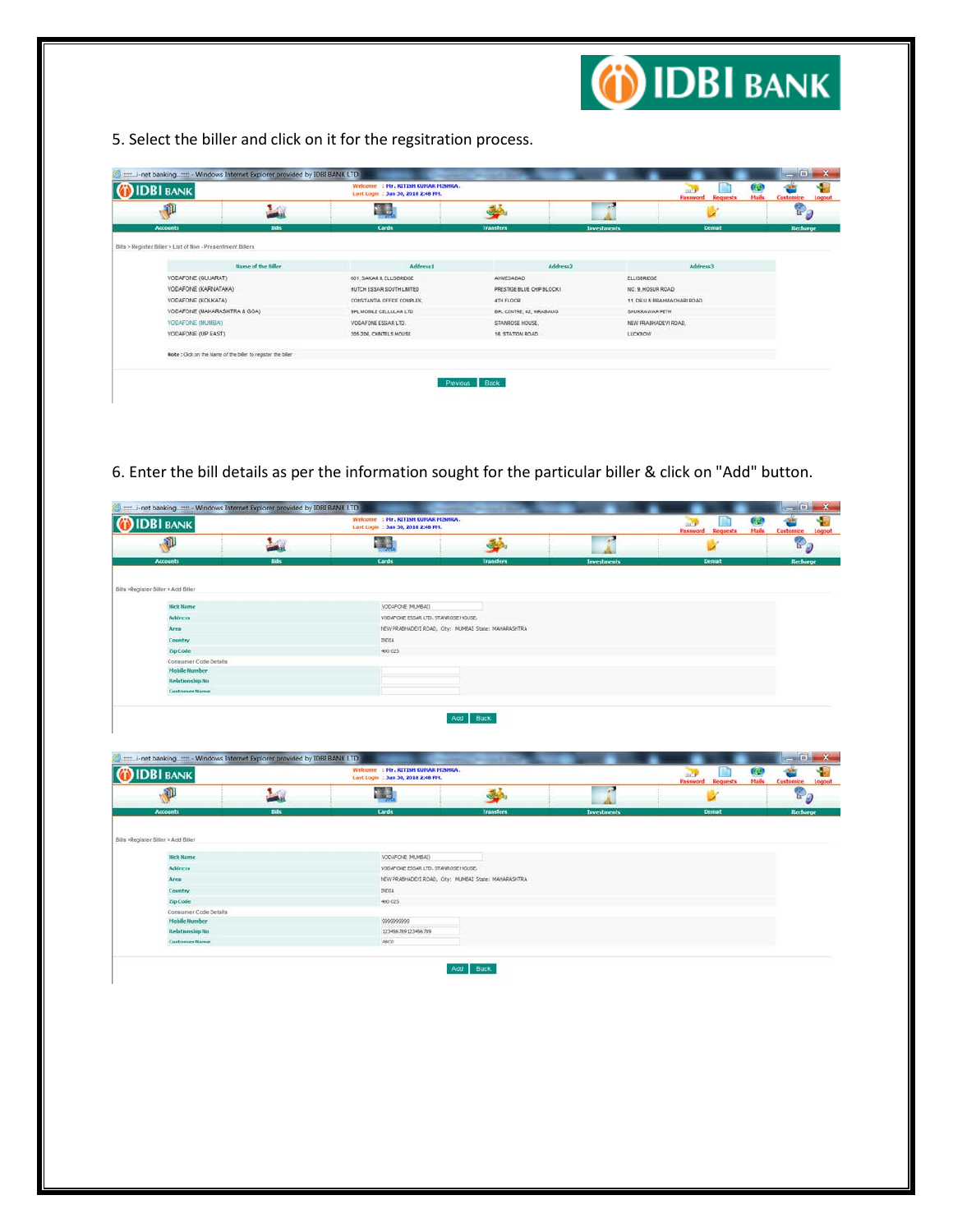

5. Select the biller and click on it for the regsitration process.

| <b>IDBI BANK</b>                                            |                                                           | : Mr. RITISH KUMAR MISHRA.<br>Wekome<br>Last Login: Jan 30, 2018 2:48 PM. |                            |                      | œ<br>Jac <sup>2</sup><br>Hails<br>Password<br><b>Requests</b> | Customize             |
|-------------------------------------------------------------|-----------------------------------------------------------|---------------------------------------------------------------------------|----------------------------|----------------------|---------------------------------------------------------------|-----------------------|
| O                                                           | الكفاء                                                    |                                                                           | قىق                        |                      |                                                               | $\mathbb{P}_{\theta}$ |
| <b>Accounts</b>                                             | <b>Dills</b>                                              | Cards                                                                     | Transfers                  | <b>Investments</b>   | <b>Demat</b>                                                  | Recharge              |
| Bills > Register Biller > List of Non - Presentment Billers |                                                           |                                                                           |                            |                      |                                                               |                       |
|                                                             | Name of the <b>Siller</b>                                 | <b>Address1</b>                                                           | Address <sub>2</sub>       |                      | Address3                                                      |                       |
| VODAFONE (GUJARAT)                                          |                                                           | 601, SAKAR I, ELLISBRIDGE                                                 | ANNEDABAD                  | <b>ELLISBROGE</b>    |                                                               |                       |
| VODAFONE (KARNATAKA)                                        |                                                           | HUTCH ESSAR SOUTH LIMTED                                                  | PRESTIGE BLUE CHIP BLOCK I | NO. 9, HOSUR ROAD    |                                                               |                       |
| VODAFONE (KOLKATA)                                          |                                                           | CONSTANTIA OFFICE COMPLEX                                                 | <b>4TH FLOOR</b>           |                      | 11. DR.U.N.BRAHMACHARI ROAD                                   |                       |
| VODAFONE (MAHARASHTRA & GOA)                                |                                                           | <b>BPL MOBLE CELLULAR LTD</b>                                             | BPL CENTRE, 42, HIRABAUG   | SHUKRAWAR PETH       |                                                               |                       |
| VODAFONE (MUMBAI)                                           |                                                           | VODAFONE ESSAR LTD.                                                       | STANROSE HOUSE.            | NEW PRABHADEVI ROAD, |                                                               |                       |
| VODAFONE (UP EAST)                                          |                                                           | 205-206, CHINTELS HOUSE                                                   | 16, STATION ROAD           | <b>LUCKNOW</b>       |                                                               |                       |
|                                                             | Note: Clok on the Name of the biler to register the biler |                                                                           |                            |                      |                                                               |                       |

6. Enter the bill details as per the information sought for the particular biller & click on "Add" button.

| <b>IDBI BANK</b>                                                                                         |                             | Wekome : Hr. RITISH KUMAR MISHRA.<br>Last Login : Jan 30, 2018 2:48 PM. |                                                      |                    | <b>ACP</b><br><b>Password Requests</b> | æ<br><b>Hails</b><br>Customize Logout |
|----------------------------------------------------------------------------------------------------------|-----------------------------|-------------------------------------------------------------------------|------------------------------------------------------|--------------------|----------------------------------------|---------------------------------------|
| O                                                                                                        | $\frac{1}{2}$               | 家畜                                                                      | 参                                                    | г.                 |                                        | $\mathbb{P}_{\mathcal{Q}}$            |
| <b>Accounts</b>                                                                                          | <b>Bills</b>                | Cards                                                                   | <b>Transfers</b>                                     | <b>Investments</b> | <b>Demat</b>                           | Recharge                              |
|                                                                                                          |                             |                                                                         |                                                      |                    |                                        |                                       |
|                                                                                                          |                             |                                                                         |                                                      |                    |                                        |                                       |
| Bills >Register Biller > Add Biller                                                                      |                             |                                                                         |                                                      |                    |                                        |                                       |
| <b>Hick Name</b>                                                                                         |                             | VODAFONE (MUMBAI)                                                       |                                                      |                    |                                        |                                       |
| <b>Address</b>                                                                                           |                             | VODAFONE ESSAR LTD. STANROSE HOUSE,                                     |                                                      |                    |                                        |                                       |
| Area                                                                                                     |                             |                                                                         | NEW PRABHADEVI ROAD, City: MUMBAI State: MAHARASHTRA |                    |                                        |                                       |
| Country                                                                                                  |                             | INDIA                                                                   |                                                      |                    |                                        |                                       |
| Zip Code                                                                                                 |                             | 400 025                                                                 |                                                      |                    |                                        |                                       |
| Consumer Code Details                                                                                    |                             |                                                                         |                                                      |                    |                                        |                                       |
| <b>Mobile Number</b>                                                                                     |                             |                                                                         |                                                      |                    |                                        |                                       |
| <b>Relationship No</b>                                                                                   |                             |                                                                         |                                                      |                    |                                        |                                       |
|                                                                                                          |                             |                                                                         |                                                      |                    |                                        |                                       |
| <b>Customer Hame</b><br>The United States of Windows Internet Explorer provided by IDBI BANK LTD         |                             | Wekome : Mr. RITISH KUNAR MISHRA.                                       | Add Back                                             |                    |                                        | <b>CONTRACTOR</b>                     |
|                                                                                                          |                             | Last Login : Jan 30, 2018 2:48 PM.                                      |                                                      |                    | ы<br>ai 7                              | œ                                     |
|                                                                                                          |                             | -74                                                                     |                                                      |                    | Password<br><b>Requests</b>            | <b>Hails</b><br>Customize<br>ę        |
| A                                                                                                        | $\mathcal{L}_{\mathcal{L}}$ |                                                                         | 参                                                    |                    |                                        |                                       |
| <b>Accounts</b>                                                                                          | <b>Bills</b>                | <b>Cards</b>                                                            | <b>Transfers</b>                                     | <b>Investments</b> | <b>Demat</b>                           | Recharge                              |
|                                                                                                          |                             |                                                                         |                                                      |                    |                                        |                                       |
|                                                                                                          |                             |                                                                         |                                                      |                    |                                        |                                       |
|                                                                                                          |                             |                                                                         |                                                      |                    |                                        |                                       |
| <b>Hick Name</b>                                                                                         |                             | VODAFONE (MUMBAI)                                                       |                                                      |                    |                                        |                                       |
| <b>Address</b>                                                                                           |                             | VODAFONE ESSAR LTD. STANROSE HOUSE,                                     |                                                      |                    |                                        |                                       |
| Area                                                                                                     |                             |                                                                         | NEW PRABHADEVI ROAD, City: MUMBAI State: MAHARASHTRA |                    |                                        |                                       |
| Country                                                                                                  |                             | INDIA                                                                   |                                                      |                    |                                        |                                       |
| Zip Code                                                                                                 |                             | 400 025                                                                 |                                                      |                    |                                        |                                       |
| <b>IDBI BANK</b><br>Bills >Register Biller > Add Biller<br>Consumer Code Details<br><b>Mobile Number</b> |                             | 9999999999                                                              |                                                      |                    |                                        |                                       |
| <b>Relationship No</b>                                                                                   |                             | 123456789123456789                                                      |                                                      |                    |                                        |                                       |
| <b>Customer Bame</b>                                                                                     |                             | ABCO                                                                    |                                                      |                    |                                        |                                       |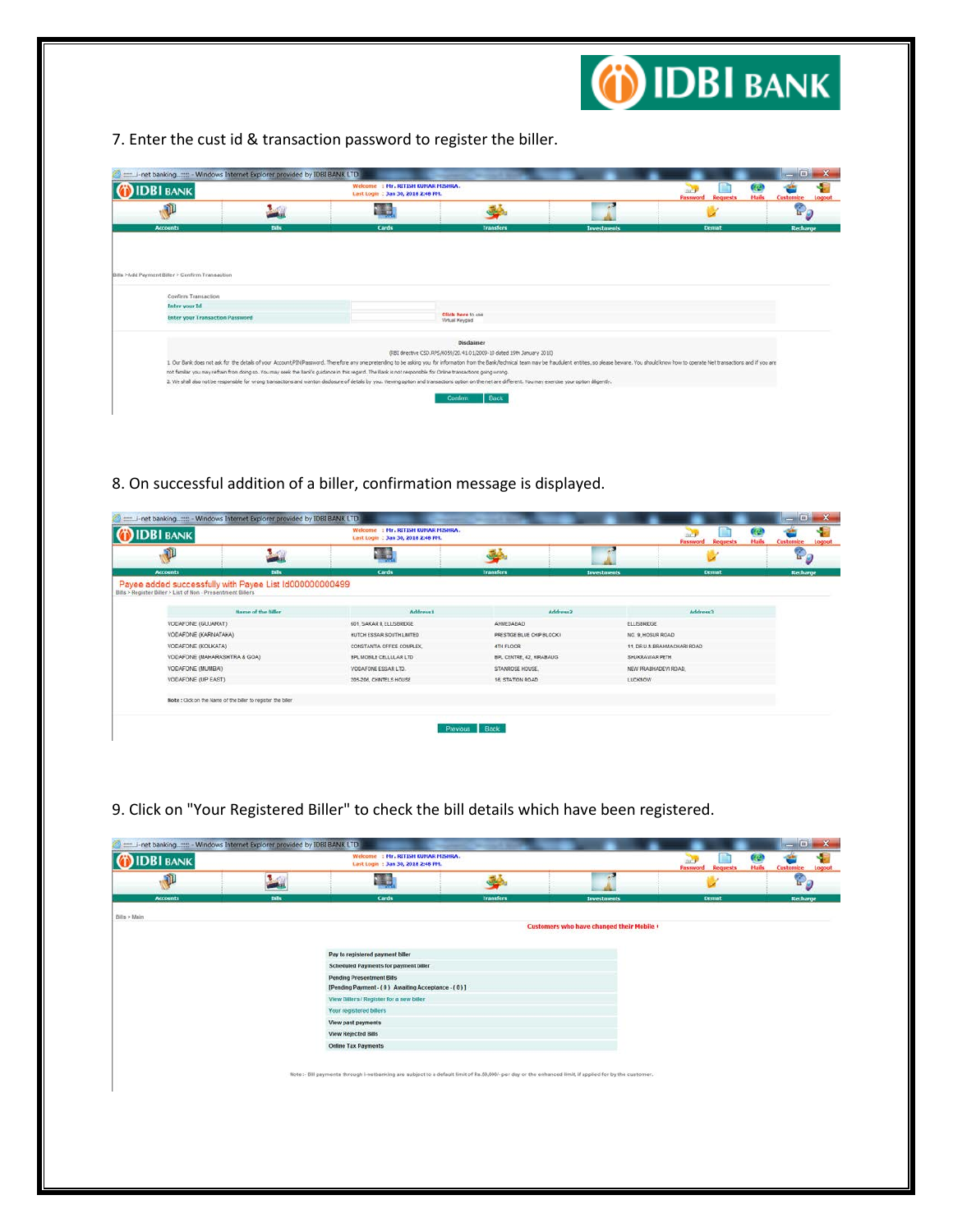

7. Enter the cust id & transaction password to register the biller.

| <b>IDBI BANK</b>                                                                               |       | Wekome : Hr. RITISH KUHAR MISHRA.<br>Last Login : Jan 30, 2018 2:48 PM.                                                                                                                                                                                                                                                                                                     |                                                                                           |                    | B<br>Hails<br><b>Password Requests</b>                                                                                                                                                                                         | Customize |
|------------------------------------------------------------------------------------------------|-------|-----------------------------------------------------------------------------------------------------------------------------------------------------------------------------------------------------------------------------------------------------------------------------------------------------------------------------------------------------------------------------|-------------------------------------------------------------------------------------------|--------------------|--------------------------------------------------------------------------------------------------------------------------------------------------------------------------------------------------------------------------------|-----------|
| O                                                                                              |       | 温泉                                                                                                                                                                                                                                                                                                                                                                          |                                                                                           |                    |                                                                                                                                                                                                                                | ÷         |
| <b>Accounts</b>                                                                                | Bills | <b>Cards</b>                                                                                                                                                                                                                                                                                                                                                                | <b>Transfers</b>                                                                          | <b>Investments</b> | <b>Demat</b>                                                                                                                                                                                                                   | Recharge  |
| Bills >Add Payment Biller > Confirm Transaction<br>Confirm Transaction<br><b>Enter your Id</b> |       |                                                                                                                                                                                                                                                                                                                                                                             |                                                                                           |                    |                                                                                                                                                                                                                                |           |
| <b>Enter your Transaction Password</b>                                                         |       |                                                                                                                                                                                                                                                                                                                                                                             | Click here to use<br>Virtual Keypad                                                       |                    |                                                                                                                                                                                                                                |           |
|                                                                                                |       | not familiar you may refram from doing so. You may seek the Bank's guidance in this regard. The Bank is not responsible for Online transactions going wrong.<br>2. We shall also not be responsible for wrong transactions and wanton disclosure of details by you. Wewing option and transactions option on the net are different. You may exercise your option dilgently. | <b>Disclaimer</b><br>(RBI drective CSD.RPS/6059/20.41.01/2009-10 dated 19th January 2010) |                    | 1. Our Bank does not ask for the details of your Account/P2N/Password. Therefore any one pretending to be asking you for information from the Bank/technical team may be fraudulent entities, so please beware. You should kno |           |

8. On successful addition of a biller, confirmation message is displayed.

| <b>IDBI BANK</b>             |                                                               | Welcome : Hr. RITISH KUHAR MISHRA.<br>Last Login : Jan 30, 2018 2:48 PM. |                            |                             | œ<br>Hails<br><b>Password Requests</b> | Customize |
|------------------------------|---------------------------------------------------------------|--------------------------------------------------------------------------|----------------------------|-----------------------------|----------------------------------------|-----------|
| $\mathfrak{p}$               | $\mathcal{N}(\mathcal{C})$                                    |                                                                          |                            |                             |                                        | P,        |
| <b>Accounts</b>              | <b>Bills</b>                                                  | Cards                                                                    | <b>Transfers</b>           | <b>Investments</b>          | <b>Demat</b>                           | Recharge  |
|                              | <b>Name of the filler</b>                                     | <b>Address1</b>                                                          | Address2                   |                             | Address3                               |           |
| VODAFONE (GUJARAT)           |                                                               | 601. SAKAR IL ELLISBRIDGE                                                | AHMEDABAD                  | <b>FLUSBRIDGE</b>           |                                        |           |
| VODAFONE (KARNATAKA)         |                                                               | HUTCH ESSAR SOUTH LIMTED                                                 | PRESTIGE BLUE CHIP BLOCK I | NO. 9, HOSUR ROAD           |                                        |           |
| VODAFONE (KOLKATA)           |                                                               | CONSTANTIA OFFICE COMPLEX.                                               | 4TH FLOOR                  | 11, DR.U.N.BRAHMACHARI ROAD |                                        |           |
| VODAFONE (MAHARASHTRA & GOA) |                                                               | <b>BPL MOBLE CELLULAR LTD</b>                                            | BPL CENTRE, 42, HRABAUG    | SHUKRAWAR PETH              |                                        |           |
| VODAFONE (MUMBAI)            |                                                               | VODAFONE ESSAR LTD.                                                      | STANROSE HOUSE.            | NEW PRABHADEVI ROAD.        |                                        |           |
| VODAFONE (UP EAST)           |                                                               | 205-206, CHINTELS HOUSE                                                  | 16, STATION ROAD           | LUCKNOW                     |                                        |           |
|                              | Note : Click on the Name of the biller to register the biller |                                                                          |                            |                             |                                        |           |

9. Click on "Your Registered Biller" to check the bill details which have been registered.

| æ<br>$\mathbb{P}$<br><b>A</b> dia<br>خط<br><b>Accounts</b><br>Bills<br>Cards<br><b>Transfers</b><br><b>Demat</b><br><b>Investments</b><br>Customers who have changed their Mobile +<br>Pay to registered payment biller<br>Scheduled Payments for payment biller<br>Pending Presentment Bills<br>[Pending Payment - (0) Awaiting Acceptance - (0)]<br>View Billers / Register for a new biller<br>Your registered billers<br>View past payments<br>View Rejected Bills<br>Online Tax Payments<br>Note :- Bill payments through i-netbanking are subject to a default limit of Rs.50,000/- per day or the enhanced limit, if applied for by the customer. | <b>IDBI BANK</b> | Wekome : Mr. RITISH KUNAR MISHRA.<br>Last Login: Jan 30, 2018 2:48 PH. |  | అ<br><b>Password Requests</b><br>Hails | Customize<br>Logout   |
|----------------------------------------------------------------------------------------------------------------------------------------------------------------------------------------------------------------------------------------------------------------------------------------------------------------------------------------------------------------------------------------------------------------------------------------------------------------------------------------------------------------------------------------------------------------------------------------------------------------------------------------------------------|------------------|------------------------------------------------------------------------|--|----------------------------------------|-----------------------|
|                                                                                                                                                                                                                                                                                                                                                                                                                                                                                                                                                                                                                                                          |                  |                                                                        |  |                                        | $\mathbb{P}_{\theta}$ |
|                                                                                                                                                                                                                                                                                                                                                                                                                                                                                                                                                                                                                                                          |                  |                                                                        |  |                                        | Recharge              |
|                                                                                                                                                                                                                                                                                                                                                                                                                                                                                                                                                                                                                                                          | Bills > Main     |                                                                        |  |                                        |                       |
|                                                                                                                                                                                                                                                                                                                                                                                                                                                                                                                                                                                                                                                          |                  |                                                                        |  |                                        |                       |
|                                                                                                                                                                                                                                                                                                                                                                                                                                                                                                                                                                                                                                                          |                  |                                                                        |  |                                        |                       |
|                                                                                                                                                                                                                                                                                                                                                                                                                                                                                                                                                                                                                                                          |                  |                                                                        |  |                                        |                       |
|                                                                                                                                                                                                                                                                                                                                                                                                                                                                                                                                                                                                                                                          |                  |                                                                        |  |                                        |                       |
|                                                                                                                                                                                                                                                                                                                                                                                                                                                                                                                                                                                                                                                          |                  |                                                                        |  |                                        |                       |
|                                                                                                                                                                                                                                                                                                                                                                                                                                                                                                                                                                                                                                                          |                  |                                                                        |  |                                        |                       |
|                                                                                                                                                                                                                                                                                                                                                                                                                                                                                                                                                                                                                                                          |                  |                                                                        |  |                                        |                       |
|                                                                                                                                                                                                                                                                                                                                                                                                                                                                                                                                                                                                                                                          |                  |                                                                        |  |                                        |                       |
|                                                                                                                                                                                                                                                                                                                                                                                                                                                                                                                                                                                                                                                          |                  |                                                                        |  |                                        |                       |
|                                                                                                                                                                                                                                                                                                                                                                                                                                                                                                                                                                                                                                                          |                  |                                                                        |  |                                        |                       |
|                                                                                                                                                                                                                                                                                                                                                                                                                                                                                                                                                                                                                                                          |                  |                                                                        |  |                                        |                       |
|                                                                                                                                                                                                                                                                                                                                                                                                                                                                                                                                                                                                                                                          |                  |                                                                        |  |                                        |                       |
|                                                                                                                                                                                                                                                                                                                                                                                                                                                                                                                                                                                                                                                          |                  |                                                                        |  |                                        |                       |
|                                                                                                                                                                                                                                                                                                                                                                                                                                                                                                                                                                                                                                                          |                  |                                                                        |  |                                        |                       |
|                                                                                                                                                                                                                                                                                                                                                                                                                                                                                                                                                                                                                                                          |                  |                                                                        |  |                                        |                       |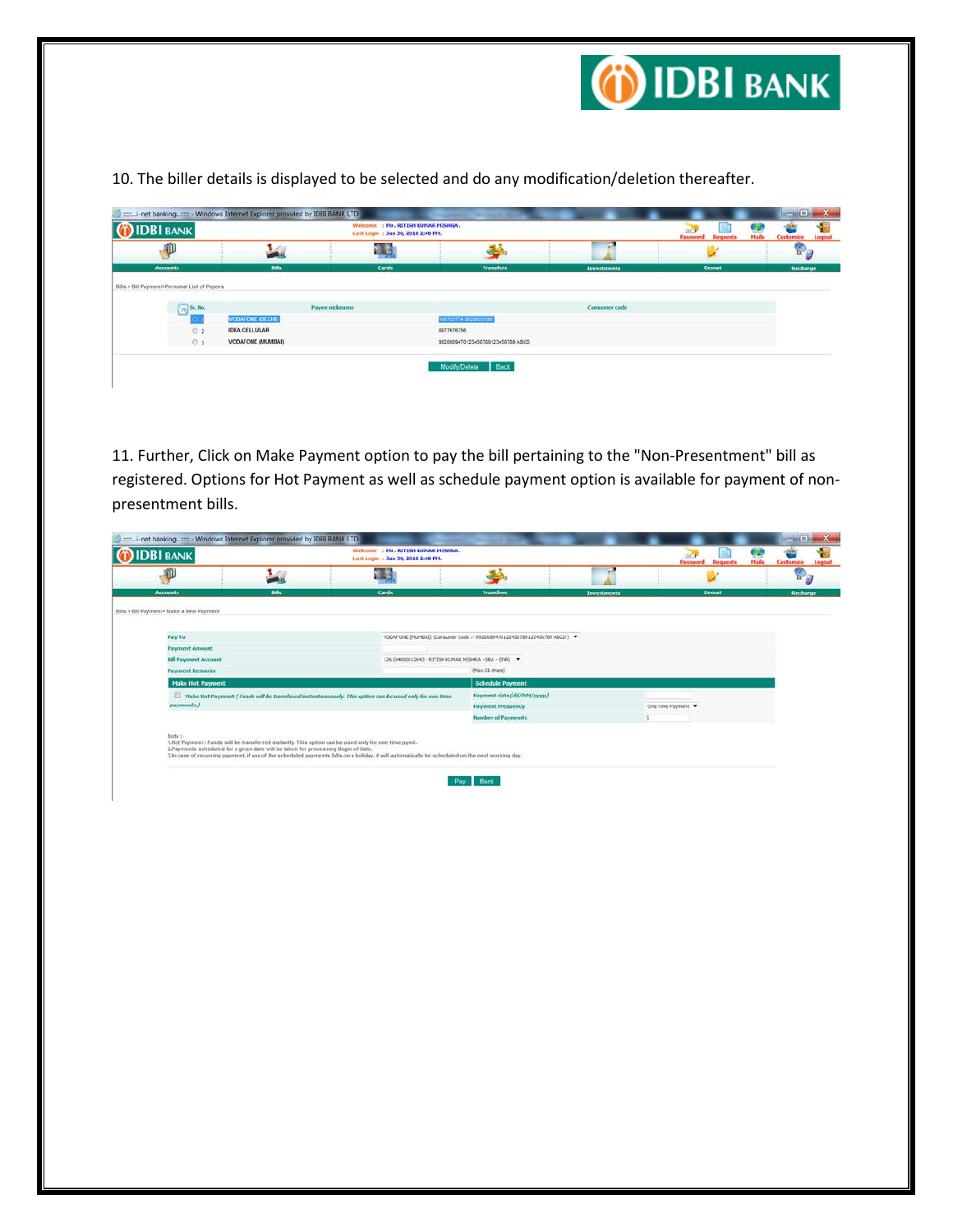

10. The biller details is displayed to be selected and do any modification/deletion thereafter.

| <b>IDBI</b> BANK                                                |                         | Wekor<br>: Mr. RITISH KUMAR MISHRA.<br>Last Login: Jan 30, 2018 2:48 PH. |                     |                                            | œ<br>DK <sup>2</sup><br>Hails<br><b>Password Requests</b> | Customize |
|-----------------------------------------------------------------|-------------------------|--------------------------------------------------------------------------|---------------------|--------------------------------------------|-----------------------------------------------------------|-----------|
| Œ                                                               |                         | 曝                                                                        |                     |                                            |                                                           | œ         |
|                                                                 |                         |                                                                          |                     |                                            |                                                           |           |
| <b>Accounts</b><br>Bills > Bill Payment>Personal List of Payees | <b>Bills</b>            | Cards<br><b>Payee nickname</b>                                           | <b>Transfers</b>    | <b>Investments</b><br><b>Consumer code</b> | Demat                                                     |           |
| $\sqrt{2}$ Sr. No.<br>D)                                        | <b>VODAFONE (DELHI)</b> |                                                                          | 1607237749029025199 |                                            |                                                           | Recharge  |
| 02                                                              | <b>IDEA CELLULAR</b>    |                                                                          | 8877676756          |                                            |                                                           |           |

11. Further, Click on Make Payment option to pay the bill pertaining to the "Non-Presentment" bill as registered. Options for Hot Payment as well as schedule payment option is available for payment of nonpresentment bills.

| œ<br><b>Password Requests</b><br>Hails<br>Customize<br>Ý<br>One-Time Payment<br>× |
|-----------------------------------------------------------------------------------|
|                                                                                   |
|                                                                                   |
|                                                                                   |
|                                                                                   |
|                                                                                   |
|                                                                                   |
|                                                                                   |
|                                                                                   |
|                                                                                   |
|                                                                                   |
|                                                                                   |
|                                                                                   |
|                                                                                   |
|                                                                                   |
|                                                                                   |
|                                                                                   |
|                                                                                   |
|                                                                                   |
|                                                                                   |
|                                                                                   |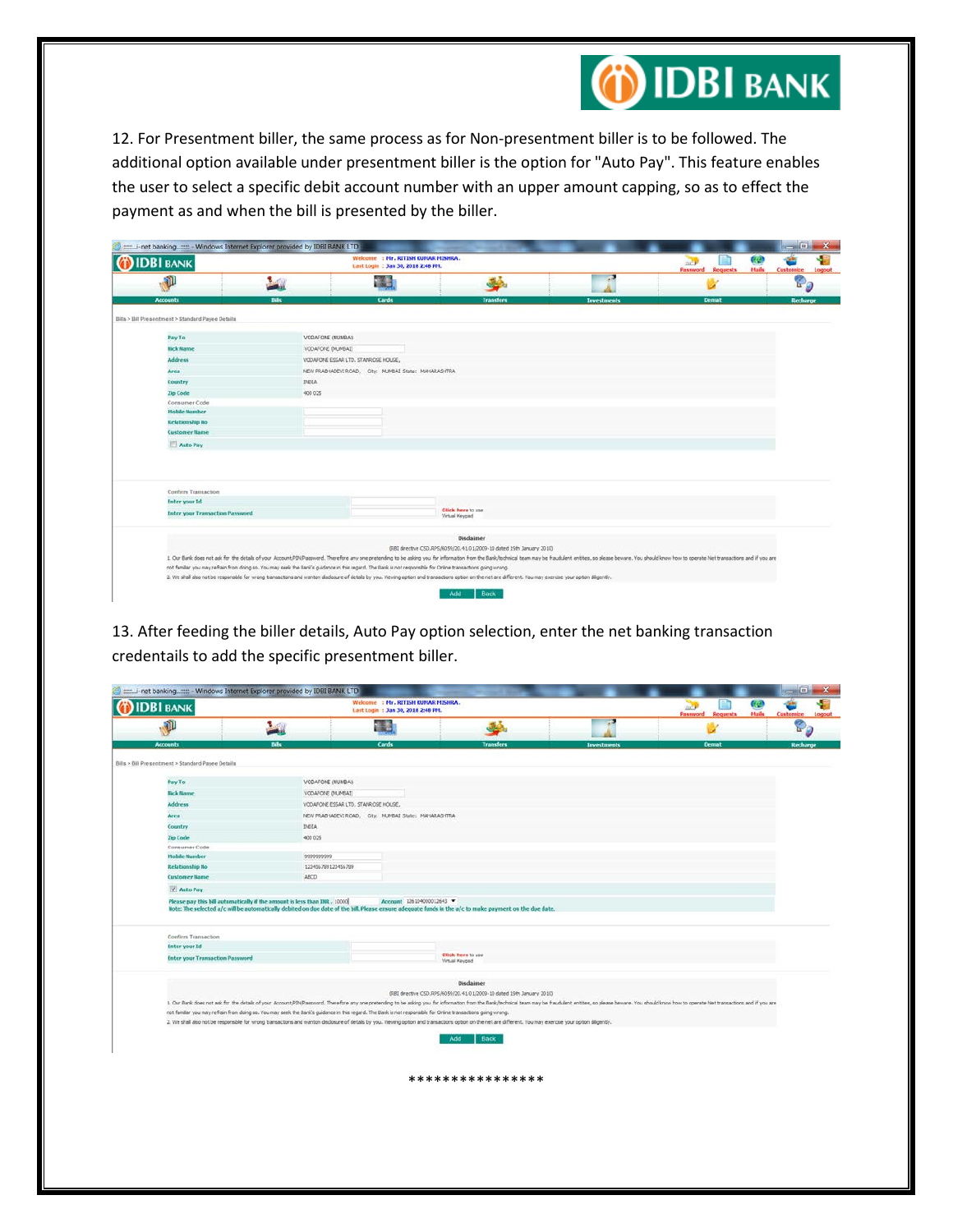

12. For Presentment biller, the same process as for Non-presentment biller is to be followed. The additional option available under presentment biller is the option for "Auto Pay". This feature enables the user to select a specific debit account number with an upper amount capping, so as to effect the payment as and when the bill is presented by the biller.

| <b>IDBI BANK</b>                                                                      |                | Wekome : Mr. RITISH KUMAR MISHRA.<br>Last Login: Jan 30, 2018 2:48 PM.                                                                                                                                                                                                                                                                                                                          |                                                                                    |           |                    | <b>ACT</b><br><b>Password Requests</b> | 國<br>Hails | Customize |
|---------------------------------------------------------------------------------------|----------------|-------------------------------------------------------------------------------------------------------------------------------------------------------------------------------------------------------------------------------------------------------------------------------------------------------------------------------------------------------------------------------------------------|------------------------------------------------------------------------------------|-----------|--------------------|----------------------------------------|------------|-----------|
| P                                                                                     | <b>Reading</b> | -74                                                                                                                                                                                                                                                                                                                                                                                             |                                                                                    | فقا       | a                  |                                        |            | Og        |
| <b>Accounts</b>                                                                       | <b>Dills</b>   | <b>Cards</b>                                                                                                                                                                                                                                                                                                                                                                                    |                                                                                    | Transfers | <b>Investments</b> | <b>Demat</b>                           |            | Recharge  |
| Bills > Bill Presentment > Standard Payee Details                                     |                |                                                                                                                                                                                                                                                                                                                                                                                                 |                                                                                    |           |                    |                                        |            |           |
| Pay To                                                                                |                | VODAFONE (MUMBAI)                                                                                                                                                                                                                                                                                                                                                                               |                                                                                    |           |                    |                                        |            |           |
| <b>Hick Name</b>                                                                      |                | VODAFONE (MUMBAI)                                                                                                                                                                                                                                                                                                                                                                               |                                                                                    |           |                    |                                        |            |           |
| <b>Address</b>                                                                        |                | VODAFONE ESSAR LTD. STANROSE HOUSE,                                                                                                                                                                                                                                                                                                                                                             |                                                                                    |           |                    |                                        |            |           |
| Area                                                                                  |                | NEW PRABHADEVI ROAD, City: MUMBAI State: MAHARASHTRA                                                                                                                                                                                                                                                                                                                                            |                                                                                    |           |                    |                                        |            |           |
| Country                                                                               | <b>DIOIA</b>   |                                                                                                                                                                                                                                                                                                                                                                                                 |                                                                                    |           |                    |                                        |            |           |
| Zip Code                                                                              | 400 025        |                                                                                                                                                                                                                                                                                                                                                                                                 |                                                                                    |           |                    |                                        |            |           |
| Consumer Code                                                                         |                |                                                                                                                                                                                                                                                                                                                                                                                                 |                                                                                    |           |                    |                                        |            |           |
| <b>Mobile Number</b>                                                                  |                |                                                                                                                                                                                                                                                                                                                                                                                                 |                                                                                    |           |                    |                                        |            |           |
| <b>Relationship No</b><br><b>Customer Name</b>                                        |                |                                                                                                                                                                                                                                                                                                                                                                                                 |                                                                                    |           |                    |                                        |            |           |
|                                                                                       |                |                                                                                                                                                                                                                                                                                                                                                                                                 |                                                                                    |           |                    |                                        |            |           |
| Auto Pay                                                                              |                |                                                                                                                                                                                                                                                                                                                                                                                                 |                                                                                    |           |                    |                                        |            |           |
| Confirm Transaction<br><b>Enter your Id</b><br><b>Enter your Transaction Password</b> |                |                                                                                                                                                                                                                                                                                                                                                                                                 | Click here to use<br>Virtual Keypad                                                |           |                    |                                        |            |           |
|                                                                                       |                |                                                                                                                                                                                                                                                                                                                                                                                                 |                                                                                    |           |                    |                                        |            |           |
|                                                                                       |                |                                                                                                                                                                                                                                                                                                                                                                                                 | Disclaimer<br>(RBI drective CSD.RPS/6059/20.41.01/2009-10 dated 19th January 2010) |           |                    |                                        |            |           |
|                                                                                       |                | L. Our Bank does not ask for the details of your Account/PDV/Password. Therefore any one pretending to be asking you for information from the Bank/technical team may be fraudulent entities, so please beware. You should kno<br>not familiar you may refrain from doing so. You may seek the Bank's guidance in this regard. The Bank is not responsible for Online transactions going wrong. |                                                                                    |           |                    |                                        |            |           |
|                                                                                       |                |                                                                                                                                                                                                                                                                                                                                                                                                 |                                                                                    |           |                    |                                        |            |           |

13. After feeding the biller details, Auto Pay option selection, enter the net banking transaction credentails to add the specific presentment biller.

| <b>IDBI BANK</b>                                  | Wekome : Mr. RITISH KUNAR MISHRA.<br>Last Login: Jan 30, 2018 2:48 PH.                                                                                                                                       |                                                      |                                                                                    |                    | 阀<br>щŪ<br>Hails<br><b>Password Requests</b><br>Customize                                                                                                                                                                      |  |
|---------------------------------------------------|--------------------------------------------------------------------------------------------------------------------------------------------------------------------------------------------------------------|------------------------------------------------------|------------------------------------------------------------------------------------|--------------------|--------------------------------------------------------------------------------------------------------------------------------------------------------------------------------------------------------------------------------|--|
| $\mathbf{p}$                                      | 20                                                                                                                                                                                                           | - 48                                                 | 34.                                                                                |                    |                                                                                                                                                                                                                                |  |
| <b>Accounts</b>                                   | <b>Bills</b>                                                                                                                                                                                                 | Cards                                                | <b>Transfers</b>                                                                   | <b>Investments</b> | Demat                                                                                                                                                                                                                          |  |
| Bills > Bill Presentment > Standard Payee Details |                                                                                                                                                                                                              |                                                      |                                                                                    |                    |                                                                                                                                                                                                                                |  |
| Pay To                                            | VODAFONE (MUMBAI)                                                                                                                                                                                            |                                                      |                                                                                    |                    |                                                                                                                                                                                                                                |  |
| <b>Bick Bame</b>                                  | VODAFONE (MUMBAI)                                                                                                                                                                                            |                                                      |                                                                                    |                    |                                                                                                                                                                                                                                |  |
| <b>Address</b>                                    | VODAFONE ESSAR LTD. STANROSE HOUSE,                                                                                                                                                                          |                                                      |                                                                                    |                    |                                                                                                                                                                                                                                |  |
| Area                                              |                                                                                                                                                                                                              | NEW PRABHADEVI ROAD, City: MUMBAI State: MAHARASHTRA |                                                                                    |                    |                                                                                                                                                                                                                                |  |
| Country                                           | <b>DIOIA</b>                                                                                                                                                                                                 |                                                      |                                                                                    |                    |                                                                                                                                                                                                                                |  |
| Zip Code                                          | 400 025                                                                                                                                                                                                      |                                                      |                                                                                    |                    |                                                                                                                                                                                                                                |  |
| Consumer Code                                     |                                                                                                                                                                                                              |                                                      |                                                                                    |                    |                                                                                                                                                                                                                                |  |
| <b>Mobile Number</b>                              | 9999999999                                                                                                                                                                                                   |                                                      |                                                                                    |                    |                                                                                                                                                                                                                                |  |
| <b>Relationship No</b>                            | 123456709123456709                                                                                                                                                                                           |                                                      |                                                                                    |                    |                                                                                                                                                                                                                                |  |
| <b>Customer Name</b>                              | ABCD                                                                                                                                                                                                         |                                                      |                                                                                    |                    |                                                                                                                                                                                                                                |  |
| Auto Pay                                          |                                                                                                                                                                                                              |                                                      |                                                                                    |                    |                                                                                                                                                                                                                                |  |
| Confirm Transaction<br><b>Enter your Id</b>       |                                                                                                                                                                                                              |                                                      |                                                                                    |                    |                                                                                                                                                                                                                                |  |
| <b>Enter your Transaction Password</b>            |                                                                                                                                                                                                              |                                                      | Click here to use<br>Virtual Keypad                                                |                    |                                                                                                                                                                                                                                |  |
|                                                   |                                                                                                                                                                                                              |                                                      |                                                                                    |                    |                                                                                                                                                                                                                                |  |
|                                                   |                                                                                                                                                                                                              |                                                      | Disclaimer<br>(RBI drective CSD.RPS/6059/20.41.01/2009-10 dated 19th January 2010) |                    |                                                                                                                                                                                                                                |  |
|                                                   |                                                                                                                                                                                                              |                                                      |                                                                                    |                    | 1. Our Bank does not ask for the details of your Account/F2N/Rassword. Therefore any one pretending to be asking you for information from the Bank/hechrical team may be fraudulent entities, so please beware. You should kno |  |
|                                                   | not familiar you may refrain from doing so. You may seek the Bank's guidance in this regard. The Bank is not responsible for Online transactions going wrong.                                                |                                                      |                                                                                    |                    |                                                                                                                                                                                                                                |  |
|                                                   | 2. We shall also not be responsible for wrong transactions and wanton disclosure of details by you. Viewing option and transactions option on the net are different. You may exercise your option dilgently. |                                                      |                                                                                    |                    |                                                                                                                                                                                                                                |  |
|                                                   |                                                                                                                                                                                                              |                                                      | Back<br>Add                                                                        |                    |                                                                                                                                                                                                                                |  |
|                                                   |                                                                                                                                                                                                              |                                                      |                                                                                    |                    |                                                                                                                                                                                                                                |  |
|                                                   |                                                                                                                                                                                                              |                                                      |                                                                                    |                    |                                                                                                                                                                                                                                |  |
|                                                   |                                                                                                                                                                                                              |                                                      |                                                                                    |                    |                                                                                                                                                                                                                                |  |
|                                                   |                                                                                                                                                                                                              |                                                      | ****************                                                                   |                    |                                                                                                                                                                                                                                |  |
|                                                   |                                                                                                                                                                                                              |                                                      |                                                                                    |                    |                                                                                                                                                                                                                                |  |
|                                                   |                                                                                                                                                                                                              |                                                      |                                                                                    |                    |                                                                                                                                                                                                                                |  |
|                                                   |                                                                                                                                                                                                              |                                                      |                                                                                    |                    |                                                                                                                                                                                                                                |  |
|                                                   |                                                                                                                                                                                                              |                                                      |                                                                                    |                    |                                                                                                                                                                                                                                |  |
|                                                   |                                                                                                                                                                                                              |                                                      |                                                                                    |                    |                                                                                                                                                                                                                                |  |
|                                                   |                                                                                                                                                                                                              |                                                      |                                                                                    |                    |                                                                                                                                                                                                                                |  |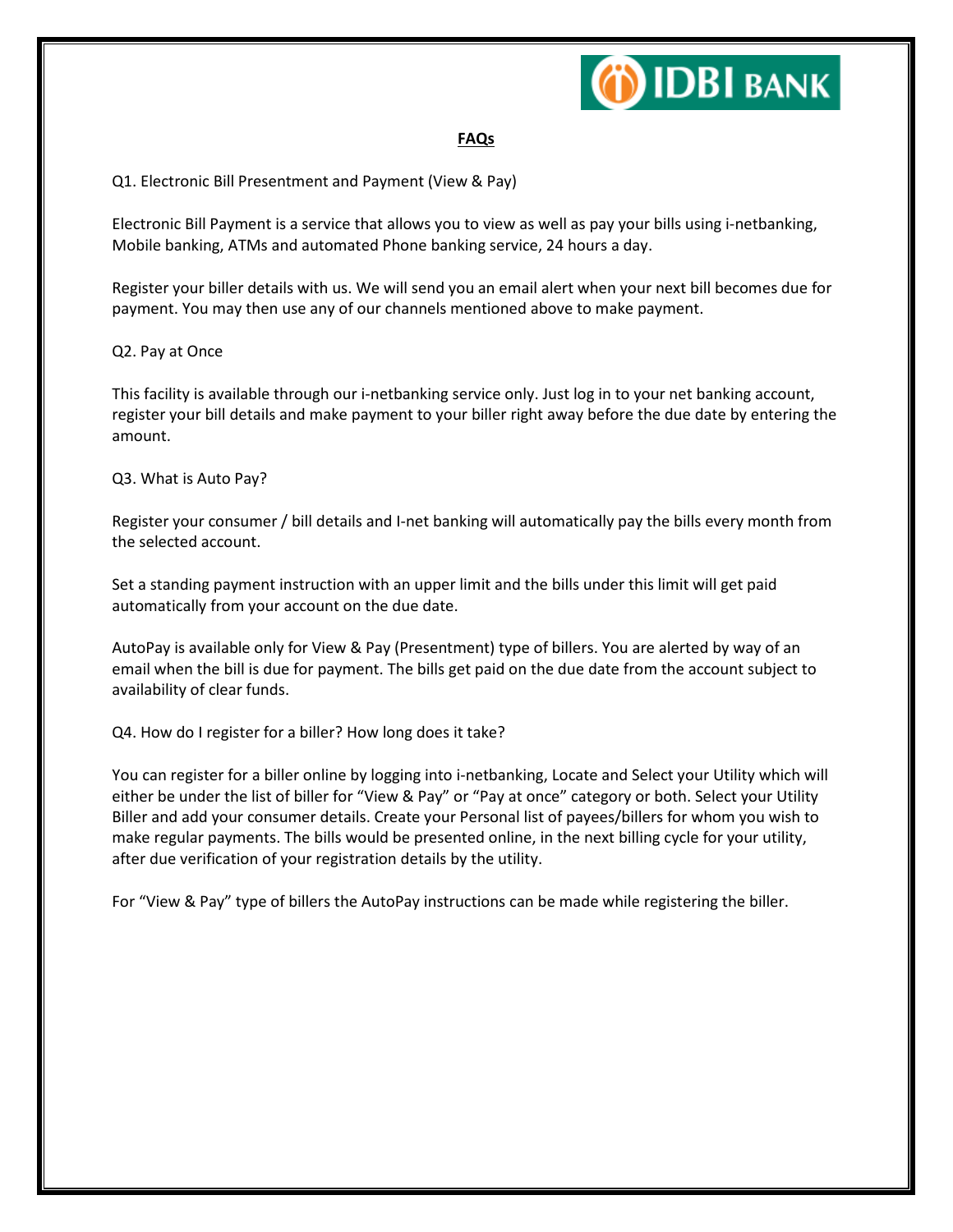

## **FAQs**

# Q1. Electronic Bill Presentment and Payment (View & Pay)

Electronic Bill Payment is a service that allows you to view as well as pay your bills using i-netbanking, Mobile banking, ATMs and automated Phone banking service, 24 hours a day.

Register your biller details with us. We will send you an email alert when your next bill becomes due for payment. You may then use any of our channels mentioned above to make payment.

#### Q2. Pay at Once

This facility is available through our i-netbanking service only. Just log in to your net banking account, register your bill details and make payment to your biller right away before the due date by entering the amount.

### Q3. What is Auto Pay?

Register your consumer / bill details and I-net banking will automatically pay the bills every month from the selected account.

Set a standing payment instruction with an upper limit and the bills under this limit will get paid automatically from your account on the due date.

AutoPay is available only for View & Pay (Presentment) type of billers. You are alerted by way of an email when the bill is due for payment. The bills get paid on the due date from the account subject to availability of clear funds.

Q4. How do I register for a biller? How long does it take?

You can register for a biller online by logging into i-netbanking, Locate and Select your Utility which will either be under the list of biller for "View & Pay" or "Pay at once" category or both. Select your Utility Biller and add your consumer details. Create your Personal list of payees/billers for whom you wish to make regular payments. The bills would be presented online, in the next billing cycle for your utility, after due verification of your registration details by the utility.

For "View & Pay" type of billers the AutoPay instructions can be made while registering the biller.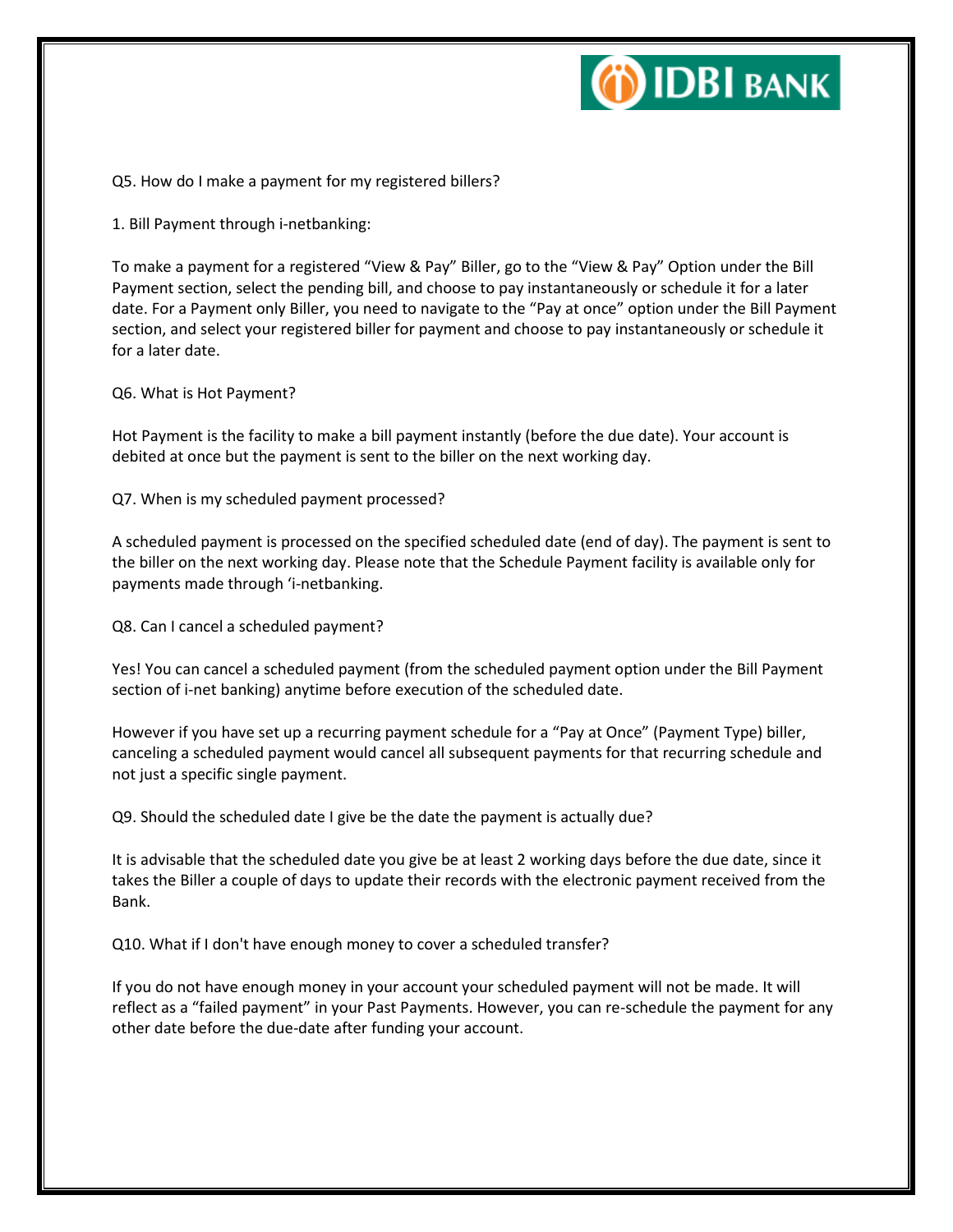

Q5. How do I make a payment for my registered billers?

1. Bill Payment through i-netbanking:

To make a payment for a registered "View & Pay" Biller, go to the "View & Pay" Option under the Bill Payment section, select the pending bill, and choose to pay instantaneously or schedule it for a later date. For a Payment only Biller, you need to navigate to the "Pay at once" option under the Bill Payment section, and select your registered biller for payment and choose to pay instantaneously or schedule it for a later date.

Q6. What is Hot Payment?

Hot Payment is the facility to make a bill payment instantly (before the due date). Your account is debited at once but the payment is sent to the biller on the next working day.

Q7. When is my scheduled payment processed?

A scheduled payment is processed on the specified scheduled date (end of day). The payment is sent to the biller on the next working day. Please note that the Schedule Payment facility is available only for payments made through 'i-netbanking.

Q8. Can I cancel a scheduled payment?

Yes! You can cancel a scheduled payment (from the scheduled payment option under the Bill Payment section of i-net banking) anytime before execution of the scheduled date.

However if you have set up a recurring payment schedule for a "Pay at Once" (Payment Type) biller, canceling a scheduled payment would cancel all subsequent payments for that recurring schedule and not just a specific single payment.

Q9. Should the scheduled date I give be the date the payment is actually due?

It is advisable that the scheduled date you give be at least 2 working days before the due date, since it takes the Biller a couple of days to update their records with the electronic payment received from the Bank.

Q10. What if I don't have enough money to cover a scheduled transfer?

If you do not have enough money in your account your scheduled payment will not be made. It will reflect as a "failed payment" in your Past Payments. However, you can re-schedule the payment for any other date before the due-date after funding your account.